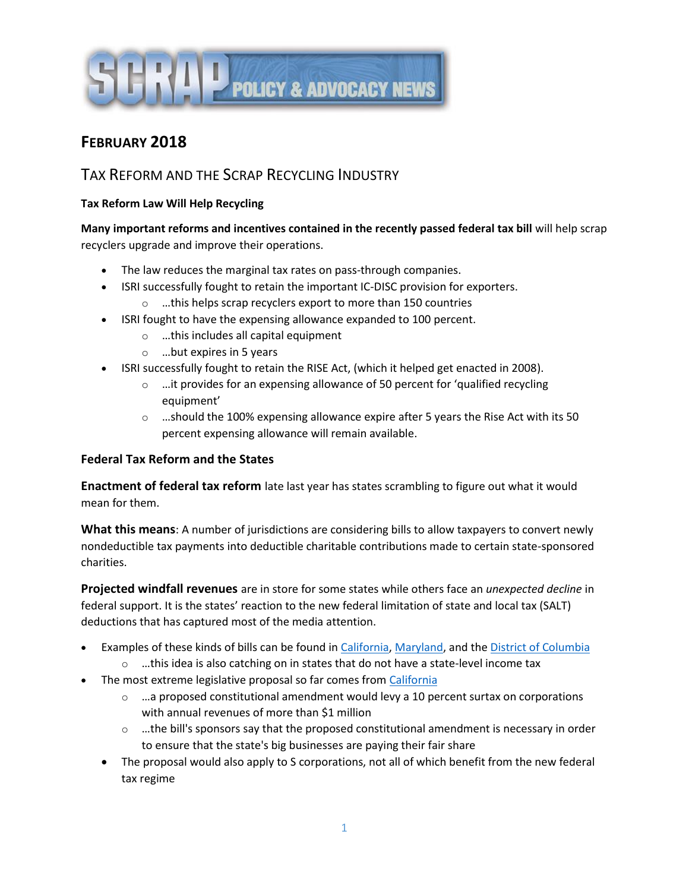

# **FEBRUARY 2018**

## TAX REFORM AND THE SCRAP RECYCLING INDUSTRY

#### **Tax Reform Law Will Help Recycling**

**Many important reforms and incentives contained in the recently passed federal tax bill** will help scrap recyclers upgrade and improve their operations.

- The law reduces the marginal tax rates on pass-through companies.
- ISRI successfully fought to retain the important IC-DISC provision for exporters.
	- o …this helps scrap recyclers export to more than 150 countries
- ISRI fought to have the expensing allowance expanded to 100 percent.
	- o …this includes all capital equipment
	- o …but expires in 5 years
- ISRI successfully fought to retain the RISE Act, (which it helped get enacted in 2008).
	- o …it provides for an expensing allowance of 50 percent for 'qualified recycling equipment'
	- $\circ$  ...should the 100% expensing allowance expire after 5 years the Rise Act with its 50 percent expensing allowance will remain available.

### **Federal Tax Reform and the States**

**Enactment of federal tax reform** late last year has states scrambling to figure out what it would mean for them.

**What this means**: A number of jurisdictions are considering bills to allow taxpayers to convert newly nondeductible tax payments into deductible charitable contributions made to certain state-sponsored charities.

**Projected windfall revenues** are in store for some states while others face an *unexpected decline* in federal support. It is the states' reaction to the new federal limitation of state and local tax (SALT) deductions that has captured most of the media attention.

- Examples of these kinds of bills can be found in [California,](http://leginfo.legislature.ca.gov/faces/billTextClient.xhtml?bill_id=201720180SB227) [Maryland,](http://mgaleg.maryland.gov/webmga/frmMain.aspx?pid=billpage&stab=01&id=HB0365&tab=subject3&ys=2018RS) and the [District of Columbia](http://lims.dccouncil.us/Legislation/B22-0667?FromSearchResults=true)
	- o …this idea is also catching on in states that do not have a state-level income tax
- The most extreme legislative proposal so far comes from [California](http://leginfo.legislature.ca.gov/faces/billTextClient.xhtml?bill_id=201720180ACA22)
	- $\circ$  ... a proposed constitutional amendment would levy a 10 percent surtax on corporations with annual revenues of more than \$1 million
	- $\circ$  ... the bill's sponsors say that the proposed constitutional amendment is necessary in order to ensure that the state's big businesses are paying their fair share
	- The proposal would also apply to S corporations, not all of which benefit from the new federal tax regime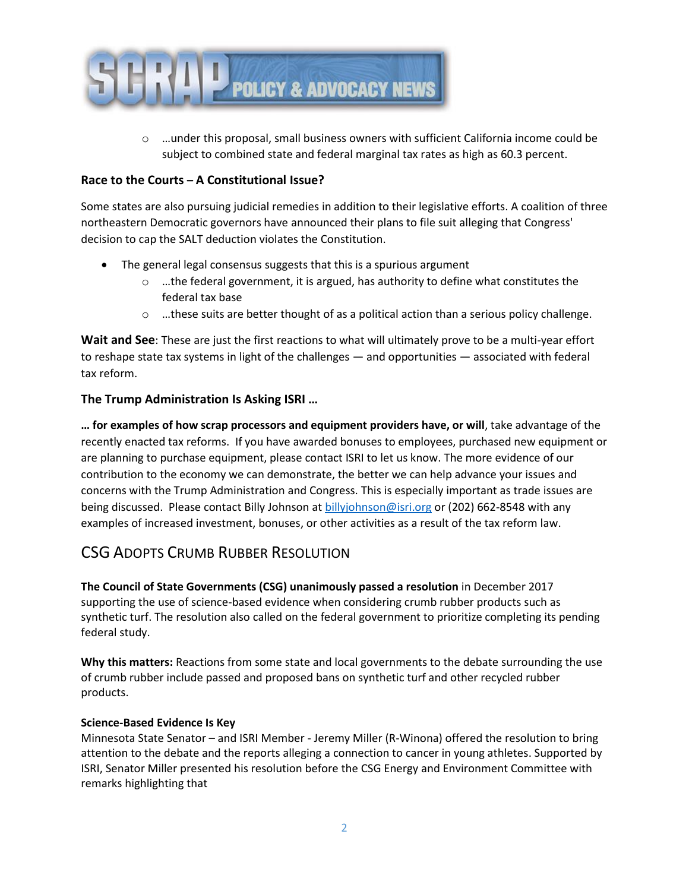

 $\circ$  …under this proposal, small business owners with sufficient California income could be subject to combined state and federal marginal tax rates as high as 60.3 percent.

#### **Race to the Courts – A Constitutional Issue?**

Some states are also pursuing judicial remedies in addition to their legislative efforts. A coalition of three northeastern Democratic governors hav[e announced](https://www.washingtonpost.com/news/business/wp/2018/01/26/new-york-new-jersey-and-connecticut-plan-lawsuit-challenging-constitutionality-of-tax-law/?utm_term=.f2fb20e3c4e4) their plans to file suit alleging that Congress' decision to cap the SALT deduction violates the Constitution.

- The [general legal consensus](https://www.law.com/newyorklawjournal/sites/newyorklawjournal/2018/01/08/cuomos-plan-to-sue-feds-over-tax-bill-faces-big-hurdles-legal-experts-say/?slreturn=20180101121603) suggests that this is a spurious argument
	- $\circ$  ...the federal government, it is argued, has authority to define what constitutes the federal tax base
	- $\circ$  ...these suits are better thought of as a political action than a serious policy challenge.

**Wait and See**: These are just the first reactions to what will ultimately prove to be a multi-year effort to reshape state tax systems in light of the challenges — and opportunities — associated with federal tax reform.

### **The Trump Administration Is Asking ISRI …**

**… for examples of how scrap processors and equipment providers have, or will**, take advantage of the recently enacted tax reforms. If you have awarded bonuses to employees, purchased new equipment or are planning to purchase equipment, please contact ISRI to let us know. The more evidence of our contribution to the economy we can demonstrate, the better we can help advance your issues and concerns with the Trump Administration and Congress. This is especially important as trade issues are being discussed. Please contact Billy Johnson at [billyjohnson@isri.org](mailto:billyjohnson@isri.org) or (202) 662-8548 with any examples of increased investment, bonuses, or other activities as a result of the tax reform law.

# CSG ADOPTS CRUMB RUBBER RESOLUTION

**The Council of State Governments (CSG) unanimously passed a resolution** in December 2017 supporting the use of science-based evidence when considering crumb rubber products such as synthetic turf. The resolution also called on the federal government to prioritize completing its pending federal study.

**Why this matters:** Reactions from some state and local governments to the debate surrounding the use of crumb rubber include passed and proposed bans on synthetic turf and other recycled rubber products.

#### **Science-Based Evidence Is Key**

Minnesota State Senator – and ISRI Member - Jeremy Miller (R-Winona) offered the resolution to bring attention to the debate and the reports alleging a connection to cancer in young athletes. Supported by ISRI, Senator Miller presented his resolution before the CSG Energy and Environment Committee with remarks highlighting that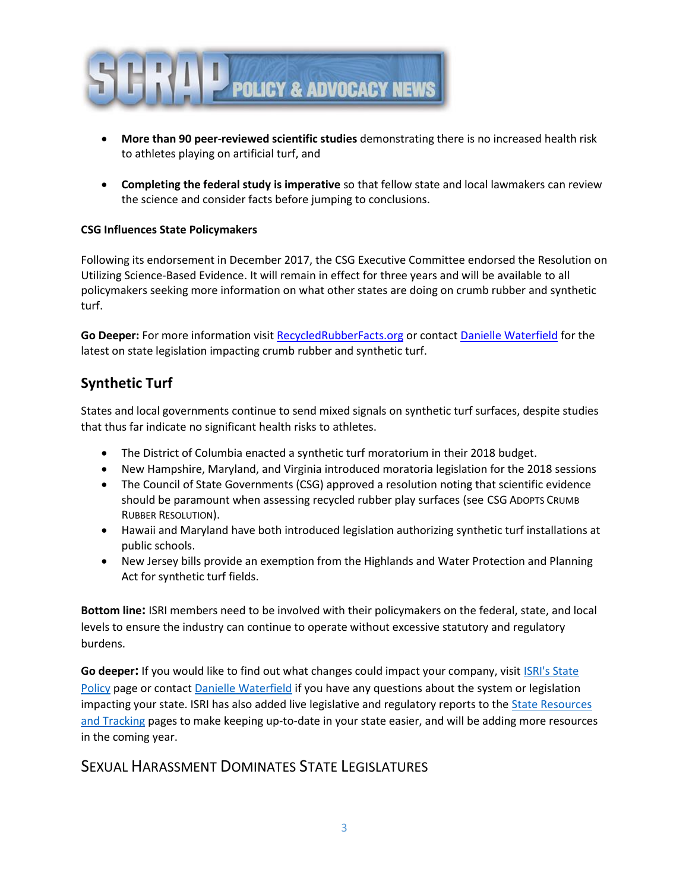

- **More than 90 peer-reviewed scientific studies** demonstrating there is no increased health risk to athletes playing on artificial turf, and
- **Completing the federal study is imperative** so that fellow state and local lawmakers can review the science and consider facts before jumping to conclusions.

#### **CSG Influences State Policymakers**

Following its endorsement in December 2017, the CSG Executive Committee endorsed the [Resolution on](http://knowledgecenter.csg.org/kc/content/resolution-utilizing-science-based-evidence-related-issue-installation-artificial-turf)  [Utilizing Science-Based Evidence.](http://knowledgecenter.csg.org/kc/content/resolution-utilizing-science-based-evidence-related-issue-installation-artificial-turf) It will remain in effect for three years and will be available to all policymakers seeking more information on what other states are doing on crumb rubber and synthetic turf.

**Go Deeper:** For more information visit [RecycledRubberFacts.org](https://www.recycledrubberfacts.org/) or contact [Danielle Waterfield](mailto:DanielleWaterfield@isri.org) for the latest on state legislation impacting crumb rubber and synthetic turf.

### **Synthetic Turf**

States and local governments continue to send mixed signals on synthetic turf surfaces, despite studies that thus far indicate no significant health risks to athletes.

- The District of Columbia enacted a synthetic turf moratorium in their 2018 budget.
- New Hampshire, Maryland, and Virginia introduced moratoria legislation for the 2018 sessions
- The Council of State Governments (CSG) approved a resolution noting that scientific evidence should be paramount when assessing recycled rubber play surfaces (see CSG ADOPTS CRUMB RUBBER RESOLUTION).
- Hawaii and Maryland have both introduced legislation authorizing synthetic turf installations at public schools.
- New Jersey bills provide an exemption from the Highlands and Water Protection and Planning Act for synthetic turf fields.

**Bottom line:** ISRI members need to be involved with their policymakers on the federal, state, and local levels to ensure the industry can continue to operate without excessive statutory and regulatory burdens.

**Go deeper:** If you would like to find out what changes could impact your company, visit [ISRI's State](http://www.isri.org/statepolicy)  [Policy](http://www.isri.org/statepolicy) page or contact [Danielle Waterfield](mailto:DanielleWaterfield@isri.org) if you have any questions about the system or legislation impacting your state. ISRI has also added live legislative and regulatory reports to the State Resources [and Tracking](http://www.isri.org/stateresources) pages to make keeping up-to-date in your state easier, and will be adding more resources in the coming year.

### SEXUAL HARASSMENT DOMINATES STATE LEGISLATURES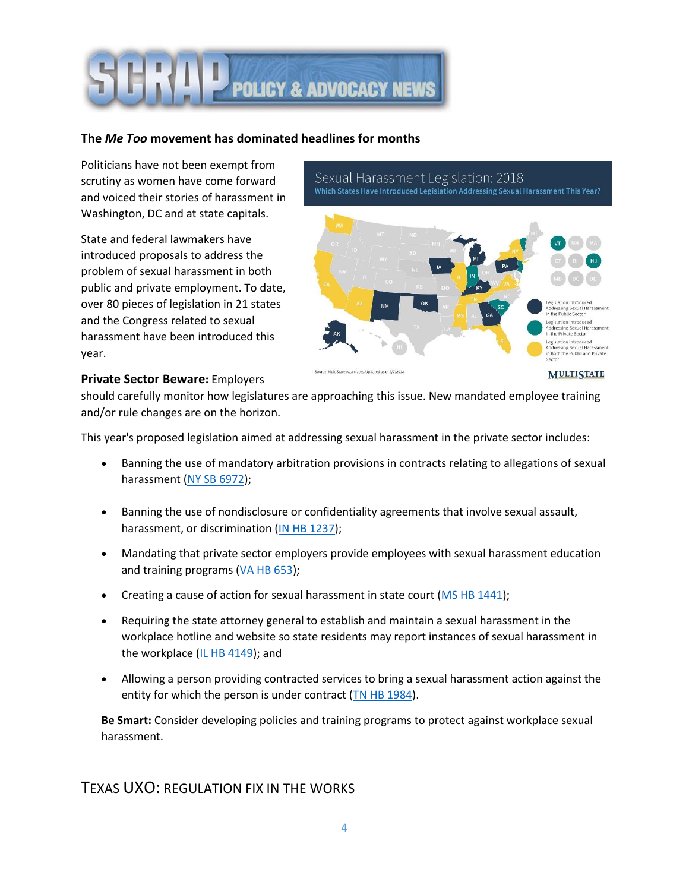

### **The** *Me Too* **movement has dominated headlines for months**

Politicians have not been exempt from scrutiny as women have come forward and voiced their stories of harassment in Washington, DC and at state capitals.

State and federal lawmakers have introduced proposals to address the problem of sexual harassment in both public and private employment. To date, over 80 pieces of legislation in 21 states and the Congress related to sexual harassment have been introduced this year.

Sexual Harassment Legislation: 2018 Which States Have Introduced Legislation Addressing Sexual Harassment This Year?



#### **Private Sector Beware:** Employers

should carefully monitor how legislatures are approaching this issue. New mandated employee training and/or rule changes are on the horizon.

This year's proposed legislation aimed at addressing sexual harassment in the private sector includes:

- Banning the use of mandatory arbitration provisions in contracts relating to allegations of sexual harassment [\(NY SB 6972\)](https://www.nysenate.gov/legislation/bills/2017/s6972);
- Banning the use of nondisclosure or confidentiality agreements that involve sexual assault, harassment, or discrimination [\(IN HB 1237\)](https://iga.in.gov/legislative/2018/bills/house/1237);
- Mandating that private sector employers provide employees with sexual harassment education and training programs [\(VA HB 653\)](https://lis.virginia.gov/cgi-bin/legp604.exe?ses=181&typ=bil&val=hb653);
- Creating a cause of action for sexual harassment in state court [\(MS HB 1441\)](http://billstatus.ls.state.ms.us/2018/pdf/history/HB/HB1441.xml);
- Requiring the state attorney general to establish and maintain a sexual harassment in the workplace hotline and website so state residents may report instances of sexual harassment in the workplace [\(IL HB 4149\)](http://www.ilga.gov/legislation/BillStatus.asp?DocNum=4149&GAID=14&DocTypeID=HB&LegId=108252&SessionID=91&GA=100); and
- Allowing a person providing contracted services to bring a sexual harassment action against the entity for which the person is under contract [\(TN HB 1984\)](http://wapp.capitol.tn.gov/apps/BillInfo/default.aspx?BillNumber=HB1984&GA=110).

**Be Smart:** Consider developing policies and training programs to protect against workplace sexual harassment.

TEXAS UXO: REGULATION FIX IN THE WORKS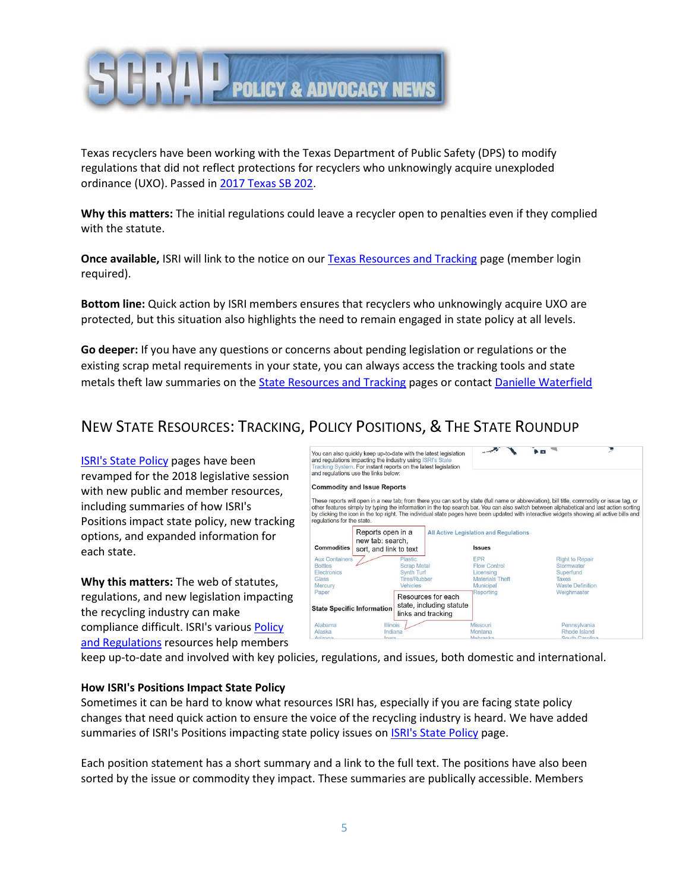

Texas recyclers have been working with the Texas Department of Public Safety (DPS) to modify regulations that did not reflect protections for recyclers who unknowingly acquire unexploded ordinance (UXO). Passed i[n 2017 Texas SB 202.](http://www.legis.state.tx.us/tlodocs/85R/billtext/html/SB00208F.htm)

**Why this matters:** The initial regulations could leave a recycler open to penalties even if they complied with the statute.

**Once available, ISRI will link to the notice on our <b>Texas Resources and Tracking page** (member login required).

**Bottom line:** Quick action by ISRI members ensures that recyclers who unknowingly acquire UXO are protected, but this situation also highlights the need to remain engaged in state policy at all levels.

**Go deeper:** If you have any questions or concerns about pending legislation or regulations or the existing scrap metal requirements in your state, you can always access the tracking tools and state metals theft law summaries on the [State Resources and Tracking](http://www.isri.org/policy-regulations/state-policies/state-specific-policy-resources) pages or contact [Danielle Waterfield](mailto:daniellewaterfield@isri.org)

## NEW STATE RESOURCES: TRACKING, POLICY POSITIONS, & THE STATE ROUNDUP

[ISRI's State Policy](http://www.isri.org/statepolicy) pages have been revamped for the 2018 legislative session with new public and member resources, including summaries of how ISRI's Positions impact state policy, new tracking options, and expanded information for each state.

**Why this matters:** The web of statutes, regulations, and new legislation impacting the recycling industry can make compliance difficult. ISRI's various [Policy](http://www.isri.org/policy-regulations)  [and Regulations](http://www.isri.org/policy-regulations) resources help members



keep up-to-date and involved with key policies, regulations, and issues, both domestic and international.

#### **How ISRI's Positions Impact State Policy**

Sometimes it can be hard to know what resources ISRI has, especially if you are facing state policy changes that need quick action to ensure the voice of the recycling industry is heard. We have added summaries of ISRI's Positions impacting state policy issues o[n ISRI's State Policy](http://www.isri.org/statepolicy) page.

Each position statement has a short summary and a link to the full text. The positions have also been sorted by the issue or commodity they impact. These summaries are publically accessible. Members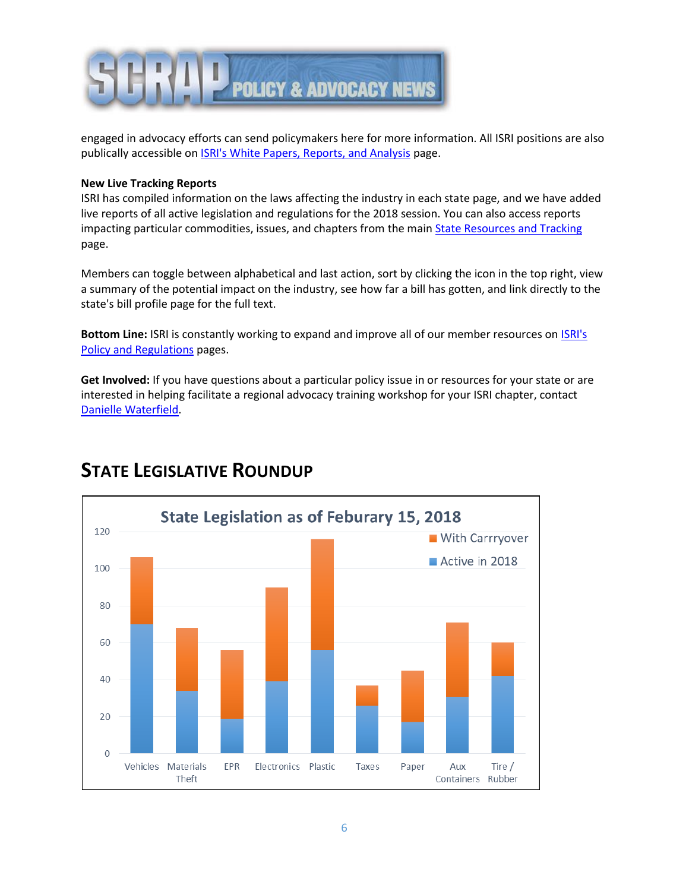

engaged in advocacy efforts can send policymakers here for more information. All ISRI positions are also publically accessible on [ISRI's White Papers, Reports, and Analysis](http://www.isri.org/recycling-industry/white-papers-reports-and-analysis) page.

#### **New Live Tracking Reports**

ISRI has compiled information on the laws affecting the industry in each state page, and we have added live reports of all active legislation and regulations for the 2018 session. You can also access reports impacting particular commodities, issues, and chapters from the main **State Resources and Tracking** page.

Members can toggle between alphabetical and last action, sort by clicking the icon in the top right, view a summary of the potential impact on the industry, see how far a bill has gotten, and link directly to the state's bill profile page for the full text.

**Bottom Line:** ISRI is constantly working to expand and improve all of our member resources o[n ISRI's](http://www.isri.org/policy-regulations)  [Policy and Regulations](http://www.isri.org/policy-regulations) pages.

**Get Involved:** If you have questions about a particular policy issue in or resources for your state or are interested in helping facilitate a regional advocacy training workshop for your ISRI chapter, contact [Danielle Waterfield.](mailto:DanielleWaterfield@isri.org)



# **STATE LEGISLATIVE ROUNDUP**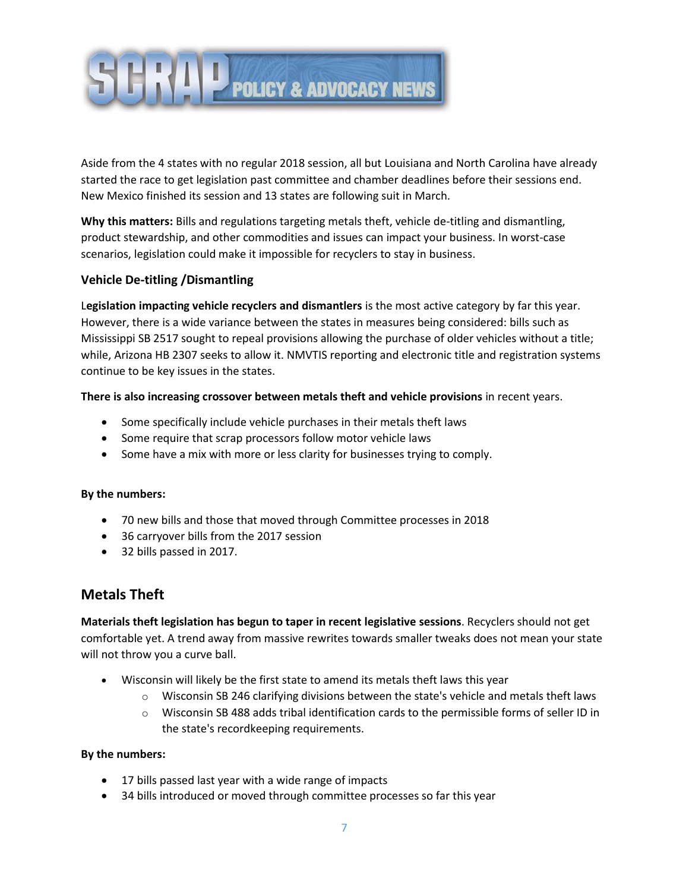

Aside from the 4 states with no regular 2018 session, all but Louisiana and North Carolina have already started the race to get legislation past committee and chamber deadlines before their sessions end. New Mexico finished its session and 13 states are following suit in March.

**Why this matters:** Bills and regulations targeting metals theft, vehicle de-titling and dismantling, product stewardship, and other commodities and issues can impact your business. In worst-case scenarios, legislation could make it impossible for recyclers to stay in business.

#### **Vehicle De-titling /Dismantling**

L**egislation impacting vehicle recyclers and dismantlers** is the most active category by far this year. However, there is a wide variance between the states in measures being considered: bills such as Mississippi SB 2517 sought to repeal provisions allowing the purchase of older vehicles without a title; while, Arizona HB 2307 seeks to allow it. NMVTIS reporting and electronic title and registration systems continue to be key issues in the states.

#### **There is also increasing crossover between metals theft and vehicle provisions** in recent years.

- Some specifically include vehicle purchases in their metals theft laws
- Some require that scrap processors follow motor vehicle laws
- Some have a mix with more or less clarity for businesses trying to comply.

#### **By the numbers:**

- 70 new bills and those that moved through Committee processes in 2018
- 36 carryover bills from the 2017 session
- 32 bills passed in 2017.

### **Metals Theft**

**Materials theft legislation has begun to taper in recent legislative sessions**. Recyclers should not get comfortable yet. A trend away from massive rewrites towards smaller tweaks does not mean your state will not throw you a curve ball.

- Wisconsin will likely be the first state to amend its metals theft laws this year
	- $\circ$  Wisconsin SB 246 clarifying divisions between the state's vehicle and metals theft laws
	- $\circ$  Wisconsin SB 488 adds tribal identification cards to the permissible forms of seller ID in the state's recordkeeping requirements.

#### **By the numbers:**

- 17 bills passed last year with a wide range of impacts
- 34 bills introduced or moved through committee processes so far this year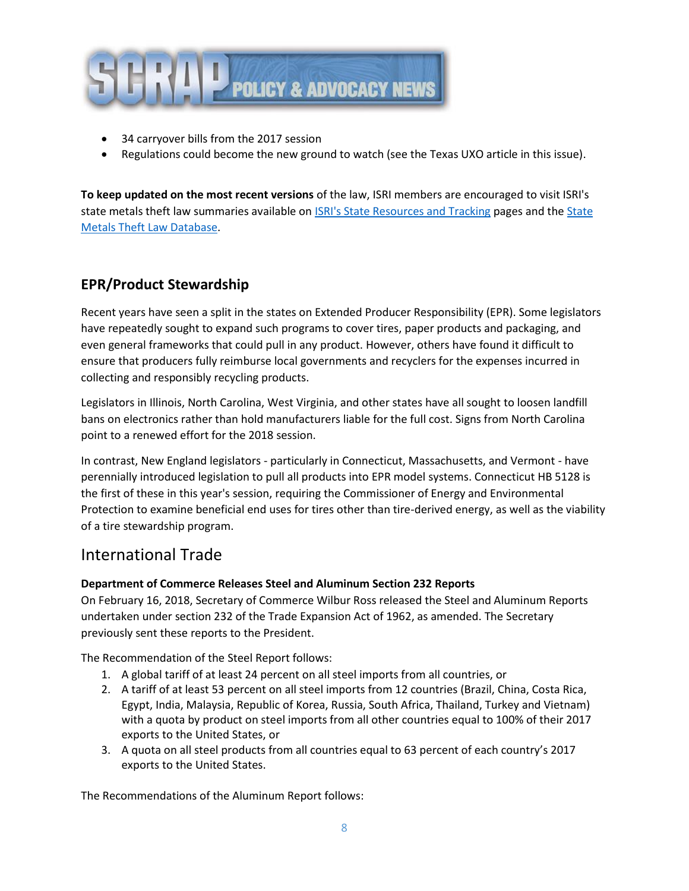

- 34 carryover bills from the 2017 session
- Regulations could become the new ground to watch (see the Texas UXO article in this issue).

**To keep updated on the most recent versions** of the law, ISRI members are encouraged to visit ISRI's state metals theft law summaries available o[n ISRI's State Resources and Tracking](http://www.isri.org/stateresources) pages and the [State](http://www.isri.org/metalstheftdb)  [Metals Theft Law Database.](http://www.isri.org/metalstheftdb)

## **EPR/Product Stewardship**

Recent years have seen a split in the states on Extended Producer Responsibility (EPR). Some legislators have repeatedly sought to expand such programs to cover tires, paper products and packaging, and even general frameworks that could pull in any product. However, others have found it difficult to ensure that producers fully reimburse local governments and recyclers for the expenses incurred in collecting and responsibly recycling products.

Legislators in Illinois, North Carolina, West Virginia, and other states have all sought to loosen landfill bans on electronics rather than hold manufacturers liable for the full cost. Signs from North Carolina point to a renewed effort for the 2018 session.

In contrast, New England legislators - particularly in Connecticut, Massachusetts, and Vermont - have perennially introduced legislation to pull all products into EPR model systems. Connecticut HB 5128 is the first of these in this year's session, requiring the Commissioner of Energy and Environmental Protection to examine beneficial end uses for tires other than tire-derived energy, as well as the viability of a tire stewardship program.

## International Trade

#### **Department of Commerce Releases Steel and Aluminum Section 232 Reports**

On February 16, 2018, Secretary of Commerce Wilbur Ross released the Steel and Aluminum Reports undertaken under section 232 of the Trade Expansion Act of 1962, as amended. The Secretary previously sent these reports to the President.

The Recommendation of the Steel Report follows:

- 1. A global tariff of at least 24 percent on all steel imports from all countries, or
- 2. A tariff of at least 53 percent on all steel imports from 12 countries (Brazil, China, Costa Rica, Egypt, India, Malaysia, Republic of Korea, Russia, South Africa, Thailand, Turkey and Vietnam) with a quota by product on steel imports from all other countries equal to 100% of their 2017 exports to the United States, or
- 3. A quota on all steel products from all countries equal to 63 percent of each country's 2017 exports to the United States.

The Recommendations of the Aluminum Report follows: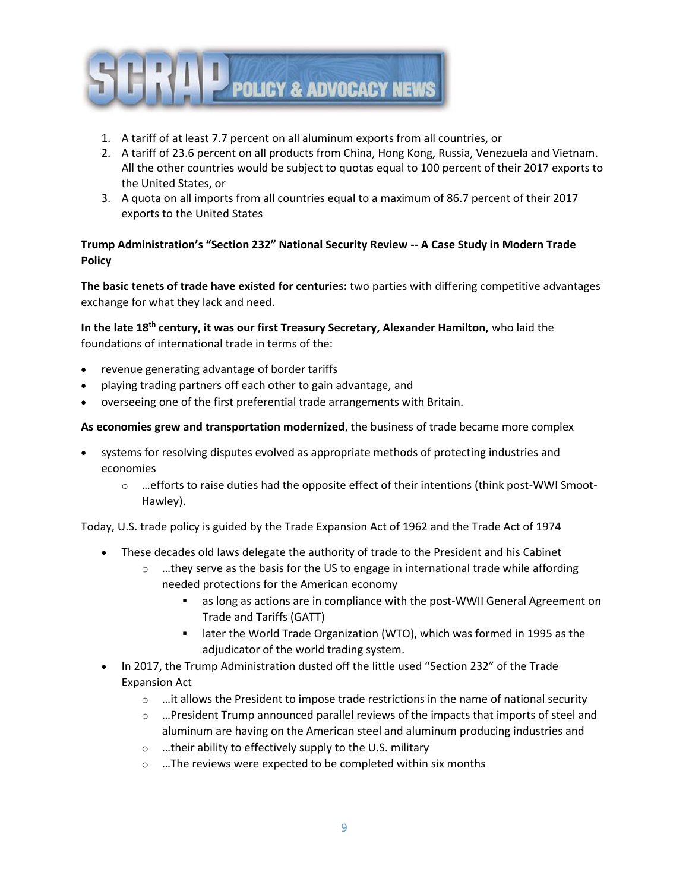

- 1. A tariff of at least 7.7 percent on all aluminum exports from all countries, or
- 2. A tariff of 23.6 percent on all products from China, Hong Kong, Russia, Venezuela and Vietnam. All the other countries would be subject to quotas equal to 100 percent of their 2017 exports to the United States, or
- 3. A quota on all imports from all countries equal to a maximum of 86.7 percent of their 2017 exports to the United States

### **Trump Administration's "Section 232" National Security Review -- A Case Study in Modern Trade Policy**

**The basic tenets of trade have existed for centuries:** two parties with differing competitive advantages exchange for what they lack and need.

**In the late 18th century, it was our first Treasury Secretary, Alexander Hamilton,** who laid the foundations of international trade in terms of the:

- revenue generating advantage of border tariffs
- playing trading partners off each other to gain advantage, and
- overseeing one of the first preferential trade arrangements with Britain.

#### **As economies grew and transportation modernized**, the business of trade became more complex

- systems for resolving disputes evolved as appropriate methods of protecting industries and economies
	- o …efforts to raise duties had the opposite effect of their intentions (think post-WWI Smoot-Hawley).

Today, U.S. trade policy is guided by the Trade Expansion Act of 1962 and the Trade Act of 1974

- These decades old laws delegate the authority of trade to the President and his Cabinet
	- $\circ$  ...they serve as the basis for the US to engage in international trade while affording needed protections for the American economy
		- as long as actions are in compliance with the post-WWII General Agreement on Trade and Tariffs (GATT)
		- later the World Trade Organization (WTO), which was formed in 1995 as the adjudicator of the world trading system.
- In 2017, the Trump Administration dusted off the little used "Section 232" of the Trade Expansion Act
	- $\circ$  ... it allows the President to impose trade restrictions in the name of national security
	- $\circ$  …President Trump announced parallel reviews of the impacts that imports of steel and aluminum are having on the American steel and aluminum producing industries and
	- o …their ability to effectively supply to the U.S. military
	- o …The reviews were expected to be completed within six months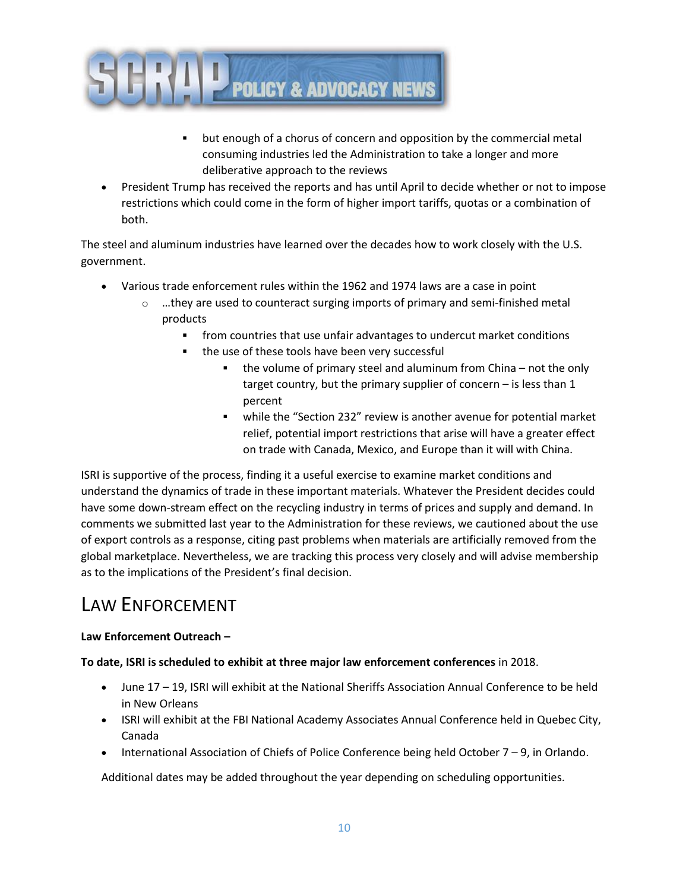

- but enough of a chorus of concern and opposition by the commercial metal consuming industries led the Administration to take a longer and more deliberative approach to the reviews
- President Trump has received the reports and has until April to decide whether or not to impose restrictions which could come in the form of higher import tariffs, quotas or a combination of both.

The steel and aluminum industries have learned over the decades how to work closely with the U.S. government.

- Various trade enforcement rules within the 1962 and 1974 laws are a case in point
	- $\circ$  ...they are used to counteract surging imports of primary and semi-finished metal products
		- from countries that use unfair advantages to undercut market conditions
		- the use of these tools have been very successful
			- the volume of primary steel and aluminum from China not the only target country, but the primary supplier of concern – is less than 1 percent
			- while the "Section 232" review is another avenue for potential market relief, potential import restrictions that arise will have a greater effect on trade with Canada, Mexico, and Europe than it will with China.

ISRI is supportive of the process, finding it a useful exercise to examine market conditions and understand the dynamics of trade in these important materials. Whatever the President decides could have some down-stream effect on the recycling industry in terms of prices and supply and demand. In comments we submitted last year to the Administration for these reviews, we cautioned about the use of export controls as a response, citing past problems when materials are artificially removed from the global marketplace. Nevertheless, we are tracking this process very closely and will advise membership as to the implications of the President's final decision.

# LAW ENFORCEMENT

#### **Law Enforcement Outreach –**

**To date, ISRI is scheduled to exhibit at three major law enforcement conferences** in 2018.

- June 17 19, ISRI will exhibit at the National Sheriffs Association Annual Conference to be held in New Orleans
- ISRI will exhibit at the FBI National Academy Associates Annual Conference held in Quebec City, Canada
- **International Association of Chiefs of Police Conference being held October 7 9, in Orlando.**

Additional dates may be added throughout the year depending on scheduling opportunities.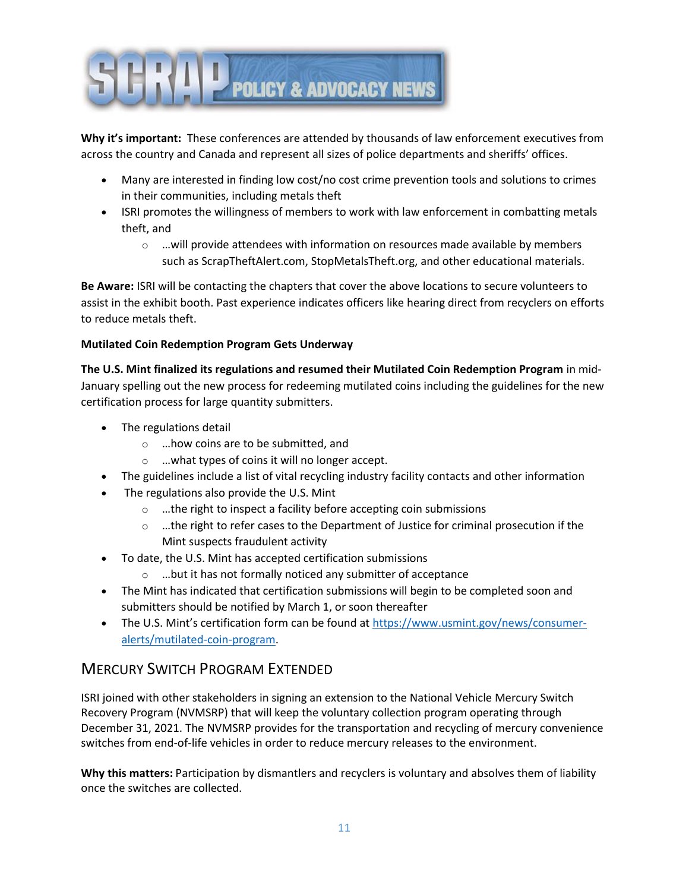

**Why it's important:** These conferences are attended by thousands of law enforcement executives from across the country and Canada and represent all sizes of police departments and sheriffs' offices.

- Many are interested in finding low cost/no cost crime prevention tools and solutions to crimes in their communities, including metals theft
- ISRI promotes the willingness of members to work with law enforcement in combatting metals theft, and
	- $\circ$  ... will provide attendees with information on resources made available by members such as ScrapTheftAlert.com, StopMetalsTheft.org, and other educational materials.

**Be Aware:** ISRI will be contacting the chapters that cover the above locations to secure volunteers to assist in the exhibit booth. Past experience indicates officers like hearing direct from recyclers on efforts to reduce metals theft.

#### **Mutilated Coin Redemption Program Gets Underway**

**The U.S. Mint finalized its regulations and resumed their Mutilated Coin Redemption Program** in mid-January spelling out the new process for redeeming mutilated coins including the guidelines for the new certification process for large quantity submitters.

- The regulations detail
	- o …how coins are to be submitted, and
	- o …what types of coins it will no longer accept.
- The guidelines include a list of vital recycling industry facility contacts and other information
- The regulations also provide the U.S. Mint
	- o …the right to inspect a facility before accepting coin submissions
	- $\circ$  ...the right to refer cases to the Department of Justice for criminal prosecution if the Mint suspects fraudulent activity
- To date, the U.S. Mint has accepted certification submissions
	- o …but it has not formally noticed any submitter of acceptance
- The Mint has indicated that certification submissions will begin to be completed soon and submitters should be notified by March 1, or soon thereafter
- The U.S. Mint's certification form can be found at [https://www.usmint.gov/news/consumer](https://na01.safelinks.protection.outlook.com/?url=https%3A%2F%2Fwww.usmint.gov%2Fnews%2Fconsumer-alerts%2Fmutilated-coin-program&data=02%7C01%7Cchris.bedell%40djj.com%7Cb6de7a2103434ddd4b3208d553a78ae3%7Cfaf05ab2bb7c420aaa2c32012bb4f906%7C0%7C0%7C636506901417064506&sdata=xKMXHmxrrR8GAnw5wFNqWThjCOKCMzyN%2BgKg7Hat%2Bv0%3D&reserved=0)[alerts/mutilated-coin-program.](https://na01.safelinks.protection.outlook.com/?url=https%3A%2F%2Fwww.usmint.gov%2Fnews%2Fconsumer-alerts%2Fmutilated-coin-program&data=02%7C01%7Cchris.bedell%40djj.com%7Cb6de7a2103434ddd4b3208d553a78ae3%7Cfaf05ab2bb7c420aaa2c32012bb4f906%7C0%7C0%7C636506901417064506&sdata=xKMXHmxrrR8GAnw5wFNqWThjCOKCMzyN%2BgKg7Hat%2Bv0%3D&reserved=0)

## MERCURY SWITCH PROGRAM EXTENDED

ISRI joined with other stakeholders in signing an extension to the National Vehicle Mercury Switch Recovery Program (NVMSRP) that will keep the voluntary collection program operating through December 31, 2021. The NVMSRP provides for the transportation and recycling of mercury convenience switches from end-of-life vehicles in order to reduce mercury releases to the environment.

**Why this matters:** Participation by dismantlers and recyclers is voluntary and absolves them of liability once the switches are collected.